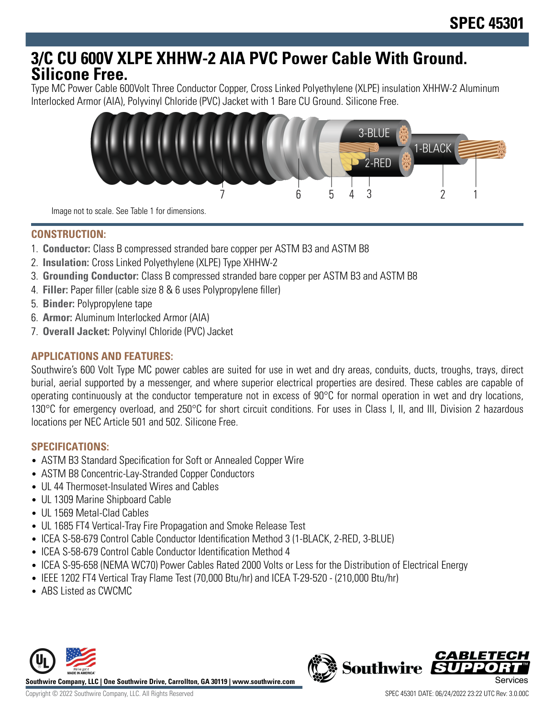# **3/C CU 600V XLPE XHHW-2 AIA PVC Power Cable With Ground. Silicone Free.**

Type MC Power Cable 600Volt Three Conductor Copper, Cross Linked Polyethylene (XLPE) insulation XHHW-2 Aluminum Interlocked Armor (AIA), Polyvinyl Chloride (PVC) Jacket with 1 Bare CU Ground. Silicone Free.



Image not to scale. See Table 1 for dimensions.

## **CONSTRUCTION:**

- 1. **Conductor:** Class B compressed stranded bare copper per ASTM B3 and ASTM B8
- 2. **Insulation:** Cross Linked Polyethylene (XLPE) Type XHHW-2
- 3. **Grounding Conductor:** Class B compressed stranded bare copper per ASTM B3 and ASTM B8
- 4. **Filler:** Paper filler (cable size 8 & 6 uses Polypropylene filler)
- 5. **Binder:** Polypropylene tape
- 6. **Armor:** Aluminum Interlocked Armor (AIA)
- 7. **Overall Jacket:** Polyvinyl Chloride (PVC) Jacket

# **APPLICATIONS AND FEATURES:**

Southwire's 600 Volt Type MC power cables are suited for use in wet and dry areas, conduits, ducts, troughs, trays, direct burial, aerial supported by a messenger, and where superior electrical properties are desired. These cables are capable of operating continuously at the conductor temperature not in excess of 90°C for normal operation in wet and dry locations, 130°C for emergency overload, and 250°C for short circuit conditions. For uses in Class I, II, and III, Division 2 hazardous locations per NEC Article 501 and 502. Silicone Free.

## **SPECIFICATIONS:**

- ASTM B3 Standard Specification for Soft or Annealed Copper Wire
- ASTM B8 Concentric-Lay-Stranded Copper Conductors
- UL 44 Thermoset-Insulated Wires and Cables
- UL 1309 Marine Shipboard Cable
- UL 1569 Metal-Clad Cables
- UL 1685 FT4 Vertical-Tray Fire Propagation and Smoke Release Test
- ICEA S-58-679 Control Cable Conductor Identification Method 3 (1-BLACK, 2-RED, 3-BLUE)
- ICEA S-58-679 Control Cable Conductor Identification Method 4
- ICEA S-95-658 (NEMA WC70) Power Cables Rated 2000 Volts or Less for the Distribution of Electrical Energy
- IEEE 1202 FT4 Vertical Tray Flame Test (70,000 Btu/hr) and ICEA T-29-520 (210,000 Btu/hr)
- ABS Listed as CWCMC



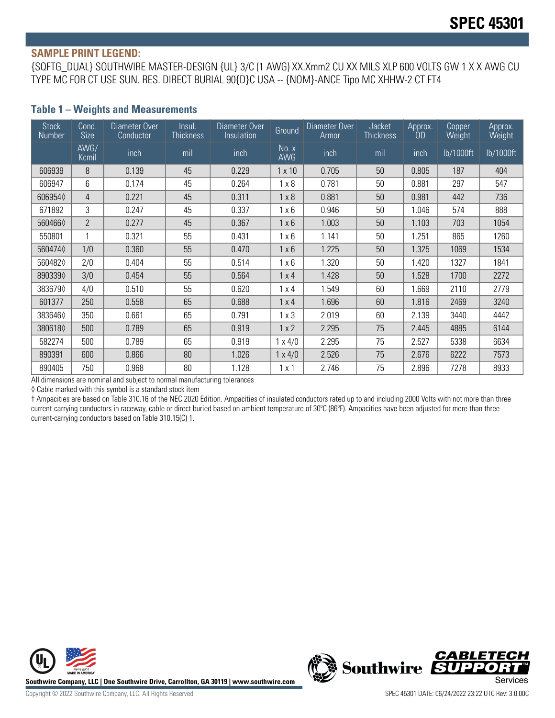#### **SAMPLE PRINT LEGEND:**

{SQFTG\_DUAL} SOUTHWIRE MASTER-DESIGN {UL} 3/C (1 AWG) XX.Xmm2 CU XX MILS XLP 600 VOLTS GW 1 X X AWG CU TYPE MC FOR CT USE SUN. RES. DIRECT BURIAL 90{D}C USA -- {NOM}-ANCE Tipo MC XHHW-2 CT FT4

### **Table 1 – Weights and Measurements**

| <b>Stock</b><br>Number | Cond.<br>Size  | Diameter Over<br>Conductor | Insul.<br><b>Thickness</b> | Diameter Over<br>Insulation | Ground              | Diameter Over<br>Armor | <b>Jacket</b><br><b>Thickness</b> | Approx.<br>OD | <b>Copper</b><br>Weight | Approx.<br>Weight |
|------------------------|----------------|----------------------------|----------------------------|-----------------------------|---------------------|------------------------|-----------------------------------|---------------|-------------------------|-------------------|
|                        | AWG/<br>Kcmil  | inch                       | mil                        | inch                        | No. x<br><b>AWG</b> | inch                   | mil                               | inch          | lb/1000ft               | lb/1000ft         |
| 606939                 | 8              | 0.139                      | 45                         | 0.229                       | $1 \times 10$       | 0.705                  | 50                                | 0.805         | 187                     | 404               |
| 606947                 | 6              | 0.174                      | 45                         | 0.264                       | $1 \times 8$        | 0.781                  | 50                                | 0.881         | 297                     | 547               |
| 6069540                | 4              | 0.221                      | 45                         | 0.311                       | $1 \times 8$        | 0.881                  | 50                                | 0.981         | 442                     | 736               |
| 671892                 | 3              | 0.247                      | 45                         | 0.337                       | $1 \times 6$        | 0.946                  | 50                                | 1.046         | 574                     | 888               |
| 5604660                | $\overline{2}$ | 0.277                      | 45                         | 0.367                       | $1 \times 6$        | 1.003                  | 50                                | 1.103         | 703                     | 1054              |
| 550801                 |                | 0.321                      | 55                         | 0.431                       | $1 \times 6$        | 1.141                  | 50                                | .251          | 865                     | 1260              |
| 5604740                | 1/0            | 0.360                      | 55                         | 0.470                       | $1 \times 6$        | 1.225                  | 50                                | 1.325         | 1069                    | 1534              |
| 5604820                | 2/0            | 0.404                      | 55                         | 0.514                       | $1 \times 6$        | 1.320                  | 50                                | 1.420         | 1327                    | 1841              |
| 8903390                | 3/0            | 0.454                      | 55                         | 0.564                       | $1 \times 4$        | 1.428                  | 50                                | 1.528         | 1700                    | 2272              |
| 3836790                | 4/0            | 0.510                      | 55                         | 0.620                       | $1 \times 4$        | 1.549                  | 60                                | .669          | 2110                    | 2779              |
| 601377                 | 250            | 0.558                      | 65                         | 0.688                       | $1 \times 4$        | 1.696                  | 60                                | 1.816         | 2469                    | 3240              |
| 3836460                | 350            | 0.661                      | 65                         | 0.791                       | $1 \times 3$        | 2.019                  | 60                                | 2.139         | 3440                    | 4442              |
| 3806180                | 500            | 0.789                      | 65                         | 0.919                       | 1x2                 | 2.295                  | 75                                | 2.445         | 4885                    | 6144              |
| 582274                 | 500            | 0.789                      | 65                         | 0.919                       | $1 \times 4/0$      | 2.295                  | 75                                | 2.527         | 5338                    | 6634              |
| 890391                 | 600            | 0.866                      | 80                         | 1.026                       | $1 \times 4/0$      | 2.526                  | 75                                | 2.676         | 6222                    | 7573              |
| 890405                 | 750            | 0.968                      | 80                         | 1.128                       | 1x1                 | 2.746                  | 75                                | 2.896         | 7278                    | 8933              |

All dimensions are nominal and subject to normal manufacturing tolerances

◊ Cable marked with this symbol is a standard stock item

† Ampacities are based on Table 310.16 of the NEC 2020 Edition. Ampacities of insulated conductors rated up to and including 2000 Volts with not more than three current-carrying conductors in raceway, cable or direct buried based on ambient temperature of 30°C (86°F). Ampacities have been adjusted for more than three current-carrying conductors based on Table 310.15(C) 1.